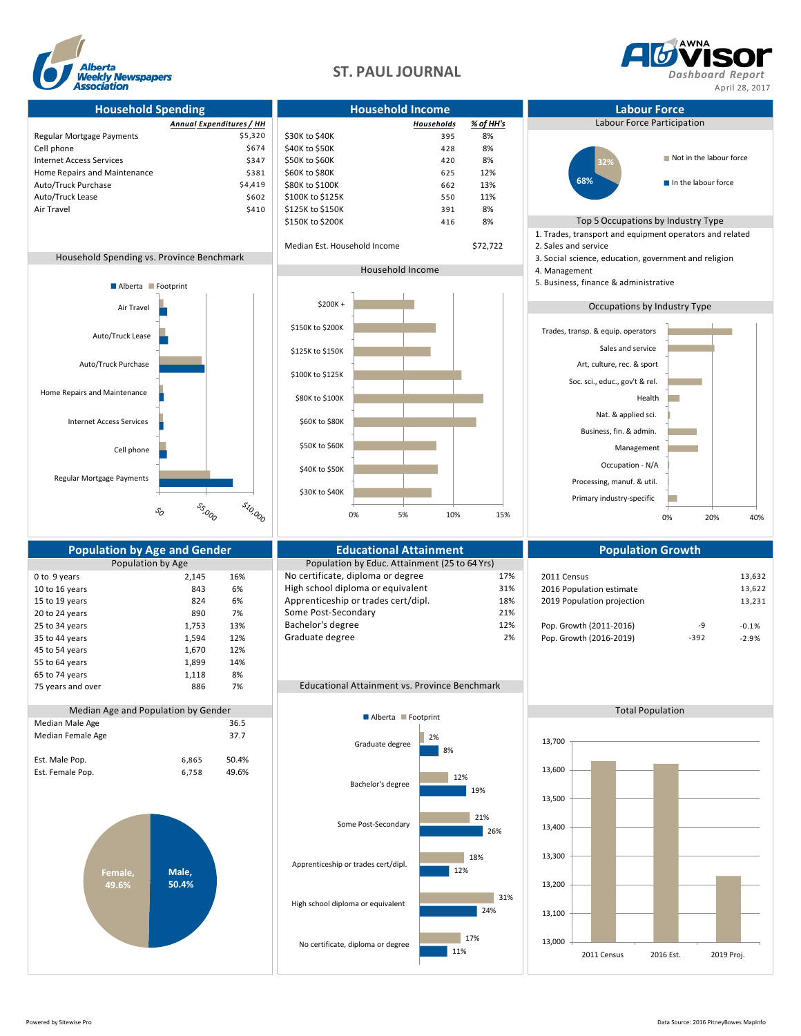